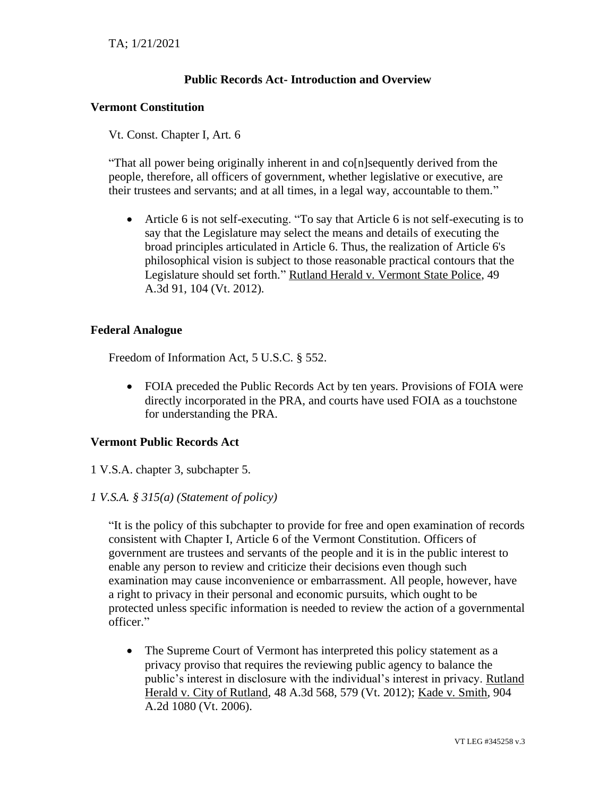# **Public Records Act- Introduction and Overview**

#### **Vermont Constitution**

Vt. Const. Chapter I, Art. 6

"That all power being originally inherent in and co[n]sequently derived from the people, therefore, all officers of government, whether legislative or executive, are their trustees and servants; and at all times, in a legal way, accountable to them."

• Article 6 is not self-executing. "To say that Article 6 is not self-executing is to say that the Legislature may select the means and details of executing the broad principles articulated in Article 6. Thus, the realization of Article 6's philosophical vision is subject to those reasonable practical contours that the Legislature should set forth." Rutland Herald v. Vermont State Police, 49 A.3d 91, 104 (Vt. 2012).

# **Federal Analogue**

Freedom of Information Act, 5 U.S.C. § 552.

• FOIA preceded the Public Records Act by ten years. Provisions of FOIA were directly incorporated in the PRA, and courts have used FOIA as a touchstone for understanding the PRA.

#### **Vermont Public Records Act**

1 V.S.A. chapter 3, subchapter 5.

#### *1 V.S.A. § 315(a) (Statement of policy)*

"It is the policy of this subchapter to provide for free and open examination of records consistent with Chapter I, Article 6 of the Vermont Constitution. Officers of government are trustees and servants of the people and it is in the public interest to enable any person to review and criticize their decisions even though such examination may cause inconvenience or embarrassment. All people, however, have a right to privacy in their personal and economic pursuits, which ought to be protected unless specific information is needed to review the action of a governmental officer."

• The Supreme Court of Vermont has interpreted this policy statement as a privacy proviso that requires the reviewing public agency to balance the public's interest in disclosure with the individual's interest in privacy. Rutland Herald v. City of Rutland, 48 A.3d 568, 579 (Vt. 2012); Kade v. Smith, 904 A.2d 1080 (Vt. 2006).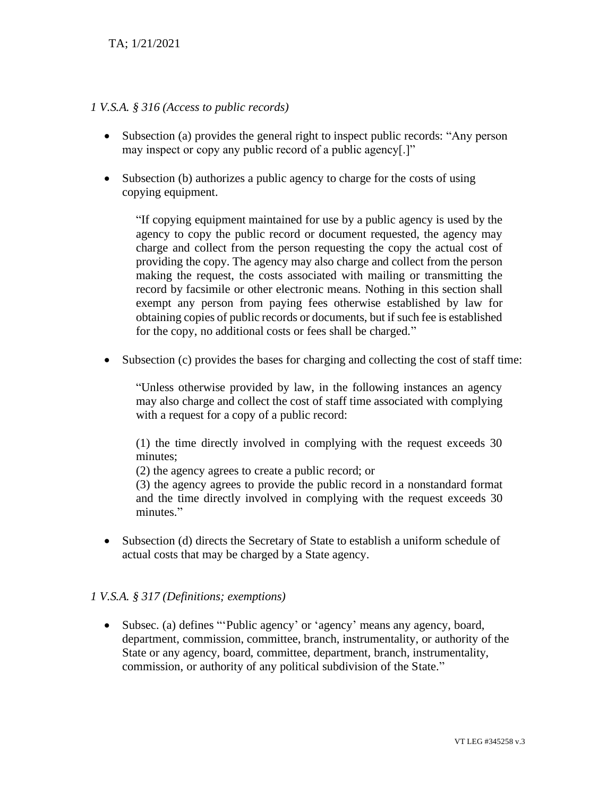### *1 V.S.A. § 316 (Access to public records)*

- Subsection (a) provides the general right to inspect public records: "Any person may inspect or copy any public record of a public agency[.]"
- Subsection (b) authorizes a public agency to charge for the costs of using copying equipment.

"If copying equipment maintained for use by a public agency is used by the agency to copy the public record or document requested, the agency may charge and collect from the person requesting the copy the actual cost of providing the copy. The agency may also charge and collect from the person making the request, the costs associated with mailing or transmitting the record by facsimile or other electronic means. Nothing in this section shall exempt any person from paying fees otherwise established by law for obtaining copies of public records or documents, but if such fee is established for the copy, no additional costs or fees shall be charged."

• Subsection (c) provides the bases for charging and collecting the cost of staff time:

"Unless otherwise provided by law, in the following instances an agency may also charge and collect the cost of staff time associated with complying with a request for a copy of a public record:

(1) the time directly involved in complying with the request exceeds 30 minutes;

(2) the agency agrees to create a public record; or

(3) the agency agrees to provide the public record in a nonstandard format and the time directly involved in complying with the request exceeds 30 minutes."

• Subsection (d) directs the Secretary of State to establish a uniform schedule of actual costs that may be charged by a State agency.

#### *1 V.S.A. § 317 (Definitions; exemptions)*

• Subsec. (a) defines "'Public agency' or 'agency' means any agency, board, department, commission, committee, branch, instrumentality, or authority of the State or any agency, board, committee, department, branch, instrumentality, commission, or authority of any political subdivision of the State."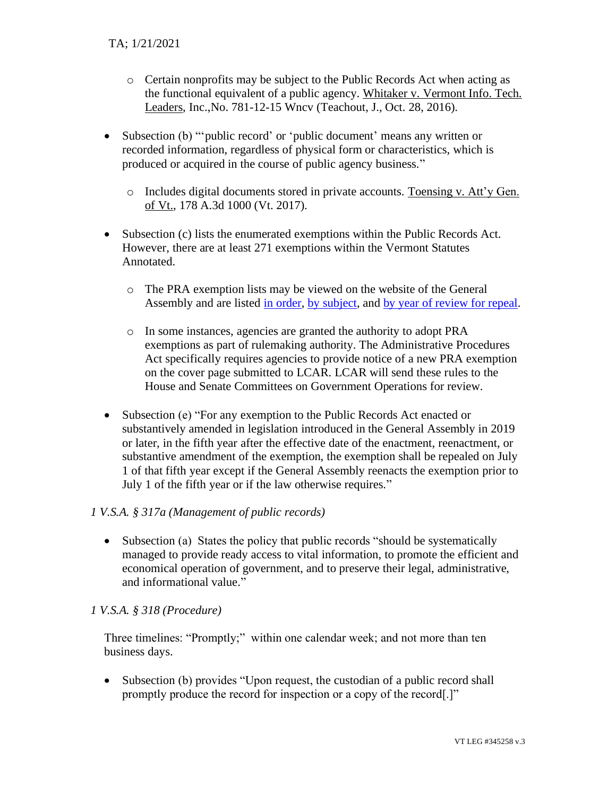- o Certain nonprofits may be subject to the Public Records Act when acting as the functional equivalent of a public agency. Whitaker v. Vermont Info. Tech. Leaders, Inc.,No. 781-12-15 Wncv (Teachout, J., Oct. 28, 2016).
- Subsection (b) "'public record' or 'public document' means any written or recorded information, regardless of physical form or characteristics, which is produced or acquired in the course of public agency business."
	- o Includes digital documents stored in private accounts. Toensing v. Att'y Gen. of Vt., 178 A.3d 1000 (Vt. 2017).
- Subsection (c) lists the enumerated exemptions within the Public Records Act. However, there are at least 271 exemptions within the Vermont Statutes Annotated.
	- o The PRA exemption lists may be viewed on the website of the General Assembly and are listed [in order,](https://legislature.vermont.gov/assets/Legislative-Reports/PRA-Exemption-List-in-Order-2020.pdf) [by subject,](https://legislature.vermont.gov/assets/Legislative-Reports/PRA-Exemption-List-by-Subject-2020.pdf) and [by year of review for repeal.](https://legislature.vermont.gov/assets/Legislative-Reports/PRA-Exemptions-Subject-to-1-VSA-317d2.pdf)
	- o In some instances, agencies are granted the authority to adopt PRA exemptions as part of rulemaking authority. The Administrative Procedures Act specifically requires agencies to provide notice of a new PRA exemption on the cover page submitted to LCAR. LCAR will send these rules to the House and Senate Committees on Government Operations for review.
- Subsection (e) "For any exemption to the Public Records Act enacted or substantively amended in legislation introduced in the General Assembly in 2019 or later, in the fifth year after the effective date of the enactment, reenactment, or substantive amendment of the exemption, the exemption shall be repealed on July 1 of that fifth year except if the General Assembly reenacts the exemption prior to July 1 of the fifth year or if the law otherwise requires."

#### *1 V.S.A. § 317a (Management of public records)*

• Subsection (a) States the policy that public records "should be systematically managed to provide ready access to vital information, to promote the efficient and economical operation of government, and to preserve their legal, administrative, and informational value."

#### *1 V.S.A. § 318 (Procedure)*

Three timelines: "Promptly;" within one calendar week; and not more than ten business days.

• Subsection (b) provides "Upon request, the custodian of a public record shall promptly produce the record for inspection or a copy of the record[.]"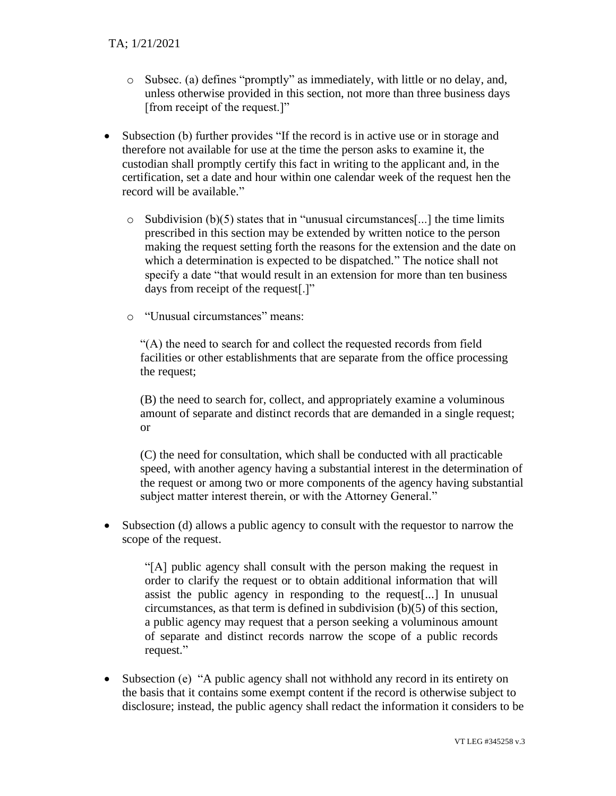- o Subsec. (a) defines "promptly" as immediately, with little or no delay, and, unless otherwise provided in this section, not more than three business days [from receipt of the request.]"
- Subsection (b) further provides "If the record is in active use or in storage and therefore not available for use at the time the person asks to examine it, the custodian shall promptly certify this fact in writing to the applicant and, in the certification, set a date and hour within one calendar week of the request hen the record will be available."
	- $\circ$  Subdivision (b)(5) states that in "unusual circumstances[...] the time limits prescribed in this section may be extended by written notice to the person making the request setting forth the reasons for the extension and the date on which a determination is expected to be dispatched." The notice shall not specify a date "that would result in an extension for more than ten business days from receipt of the request[.]"
	- o "Unusual circumstances" means:

"(A) the need to search for and collect the requested records from field facilities or other establishments that are separate from the office processing the request;

(B) the need to search for, collect, and appropriately examine a voluminous amount of separate and distinct records that are demanded in a single request; or

(C) the need for consultation, which shall be conducted with all practicable speed, with another agency having a substantial interest in the determination of the request or among two or more components of the agency having substantial subject matter interest therein, or with the Attorney General."

• Subsection (d) allows a public agency to consult with the requestor to narrow the scope of the request.

"[A] public agency shall consult with the person making the request in order to clarify the request or to obtain additional information that will assist the public agency in responding to the request[...] In unusual circumstances, as that term is defined in subdivision (b)(5) of this section, a public agency may request that a person seeking a voluminous amount of separate and distinct records narrow the scope of a public records request."

• Subsection (e) "A public agency shall not withhold any record in its entirety on the basis that it contains some exempt content if the record is otherwise subject to disclosure; instead, the public agency shall redact the information it considers to be